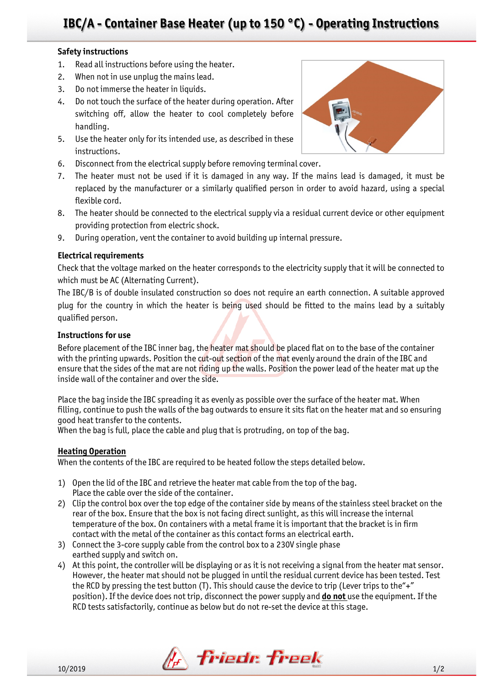# **IBC/A - Container Base Heater (up to 150 °C) - Operating Instructions**

### **Safety instructions**

- 1. Read all instructions before using the heater.
- 2. When not in use unplug the mains lead.
- 3. Do not immerse the heater in liquids.
- 4. Do not touch the surface of the heater during operation. After switching off, allow the heater to cool completely before handling.
- 5. Use the heater only for its intended use, as described in these instructions.
- 6. Disconnect from the electrical supply before removing terminal cover.
- 7. The heater must not be used if it is damaged in any way. If the mains lead is damaged, it must be replaced by the manufacturer or a similarly qualified person in order to avoid hazard, using a special flexible cord.
- 8. The heater should be connected to the electrical supply via a residual current device or other equipment providing protection from electric shock.
- 9. During operation, vent the container to avoid building up internal pressure.

## **Electrical requirements**

Check that the voltage marked on the heater corresponds to the electricity supply that it will be connected to which must be AC (Alternating Current).

The IBC/B is of double insulated construction so does not require an earth connection. A suitable approved plug for the country in which the heater is being used should be fitted to the mains lead by a suitably qualified person.

## **Instructions for use**

Before placement of the IBC inner bag, the heater mat should be placed flat on to the base of the container with the printing upwards. Position the cut-out section of the mat evenly around the drain of the IBC and ensure that the sides of the mat are not riding up the walls. Position the power lead of the heater mat up the inside wall of the container and over the side.

Place the bag inside the IBC spreading it as evenly as possible over the surface of the heater mat. When filling, continue to push the walls of the bag outwards to ensure it sits flat on the heater mat and so ensuring good heat transfer to the contents.

When the bag is full, place the cable and plug that is protruding, on top of the bag.

#### **Heating Operation**

When the contents of the IBC are required to be heated follow the steps detailed below.

- 1) Open the lid of the IBC and retrieve the heater mat cable from the top of the bag. Place the cable over the side of the container.
- 2) Clip the control box over the top edge of the container side by means of the stainless steel bracket on the rear of the box. Ensure that the box is not facing direct sunlight, as this will increase the internal temperature of the box. On containers with a metal frame it is important that the bracket is in firm contact with the metal of the container as this contact forms an electrical earth.
- 3) Connect the 3-core supply cable from the control box to a 230V single phase earthed supply and switch on.
- 4) At this point, the controller will be displaying or as it is not receiving a signal from the heater mat sensor. However, the heater mat should not be plugged in until the residual current device has been tested. Test the RCD by pressing the test button (T). This should cause the device to trip (Lever trips to the"+" position). If the device does not trip, disconnect the power supply and **do not** use the equipment. If the RCD tests satisfactorily, continue as below but do not re-set the device at this stage.